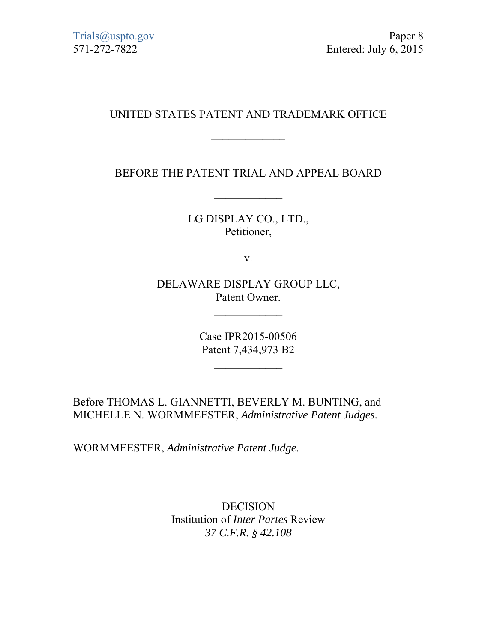# UNITED STATES PATENT AND TRADEMARK OFFICE

 $\frac{1}{2}$ 

BEFORE THE PATENT TRIAL AND APPEAL BOARD

LG DISPLAY CO., LTD., Petitioner,

v.

DELAWARE DISPLAY GROUP LLC, Patent Owner.

 $\frac{1}{2}$ 

Case IPR2015-00506 Patent 7,434,973 B2

Before THOMAS L. GIANNETTI, BEVERLY M. BUNTING, and MICHELLE N. WORMMEESTER, *Administrative Patent Judges.* 

WORMMEESTER, *Administrative Patent Judge.*

DECISION Institution of *Inter Partes* Review *37 C.F.R. § 42.108*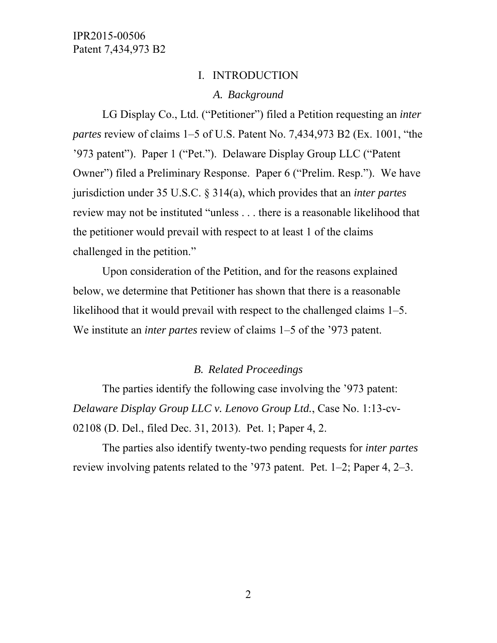### I. INTRODUCTION

## *A. Background*

LG Display Co., Ltd. ("Petitioner") filed a Petition requesting an *inter partes* review of claims 1–5 of U.S. Patent No. 7,434,973 B2 (Ex. 1001, "the '973 patent"). Paper 1 ("Pet."). Delaware Display Group LLC ("Patent Owner") filed a Preliminary Response. Paper 6 ("Prelim. Resp."). We have jurisdiction under 35 U.S.C. § 314(a), which provides that an *inter partes*  review may not be instituted "unless . . . there is a reasonable likelihood that the petitioner would prevail with respect to at least 1 of the claims challenged in the petition."

Upon consideration of the Petition, and for the reasons explained below, we determine that Petitioner has shown that there is a reasonable likelihood that it would prevail with respect to the challenged claims 1–5. We institute an *inter partes* review of claims 1–5 of the '973 patent.

#### *B. Related Proceedings*

The parties identify the following case involving the '973 patent: *Delaware Display Group LLC v. Lenovo Group Ltd.*, Case No. 1:13-cv-02108 (D. Del., filed Dec. 31, 2013). Pet. 1; Paper 4, 2.

The parties also identify twenty-two pending requests for *inter partes*  review involving patents related to the '973 patent. Pet. 1–2; Paper 4, 2–3.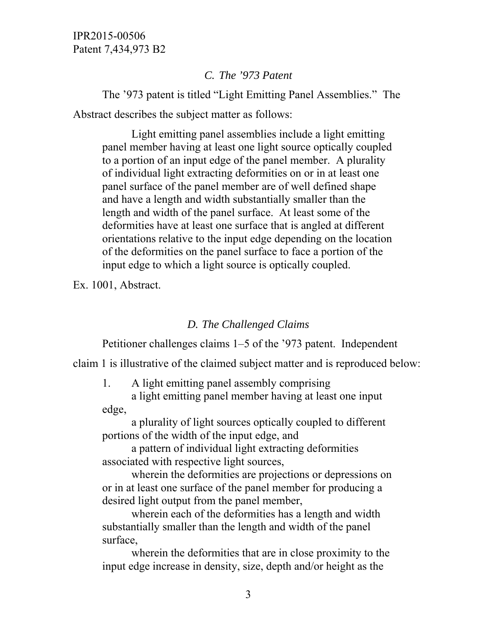#### *C. The '973 Patent*

The '973 patent is titled "Light Emitting Panel Assemblies." The Abstract describes the subject matter as follows:

Light emitting panel assemblies include a light emitting panel member having at least one light source optically coupled to a portion of an input edge of the panel member. A plurality of individual light extracting deformities on or in at least one panel surface of the panel member are of well defined shape and have a length and width substantially smaller than the length and width of the panel surface. At least some of the deformities have at least one surface that is angled at different orientations relative to the input edge depending on the location of the deformities on the panel surface to face a portion of the input edge to which a light source is optically coupled.

Ex. 1001, Abstract.

#### *D. The Challenged Claims*

Petitioner challenges claims 1–5 of the '973 patent. Independent

claim 1 is illustrative of the claimed subject matter and is reproduced below:

1. A light emitting panel assembly comprising

a light emitting panel member having at least one input edge,

a plurality of light sources optically coupled to different portions of the width of the input edge, and

a pattern of individual light extracting deformities associated with respective light sources,

wherein the deformities are projections or depressions on or in at least one surface of the panel member for producing a desired light output from the panel member,

wherein each of the deformities has a length and width substantially smaller than the length and width of the panel surface,

wherein the deformities that are in close proximity to the input edge increase in density, size, depth and/or height as the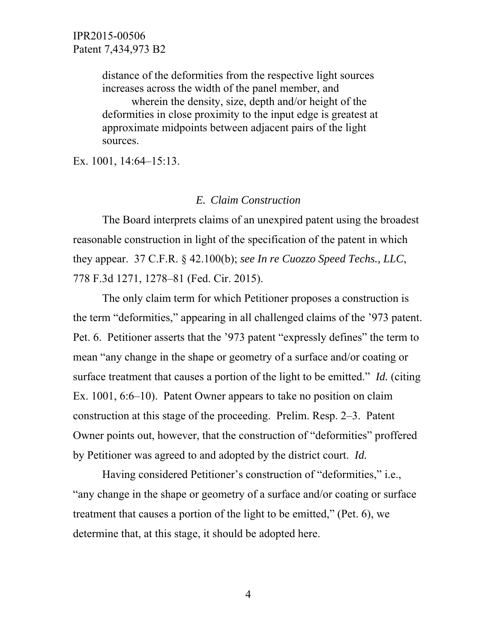distance of the deformities from the respective light sources increases across the width of the panel member, and wherein the density, size, depth and/or height of the deformities in close proximity to the input edge is greatest at approximate midpoints between adjacent pairs of the light sources.

Ex. 1001, 14:64–15:13.

### *E. Claim Construction*

The Board interprets claims of an unexpired patent using the broadest reasonable construction in light of the specification of the patent in which they appear. 37 C.F.R. § 42.100(b); *see In re Cuozzo Speed Techs., LLC*, 778 F.3d 1271, 1278–81 (Fed. Cir. 2015).

The only claim term for which Petitioner proposes a construction is the term "deformities," appearing in all challenged claims of the '973 patent. Pet. 6. Petitioner asserts that the '973 patent "expressly defines" the term to mean "any change in the shape or geometry of a surface and/or coating or surface treatment that causes a portion of the light to be emitted." *Id.* (citing Ex. 1001, 6:6–10). Patent Owner appears to take no position on claim construction at this stage of the proceeding. Prelim. Resp. 2–3. Patent Owner points out, however, that the construction of "deformities" proffered by Petitioner was agreed to and adopted by the district court. *Id.* 

Having considered Petitioner's construction of "deformities," i.e., "any change in the shape or geometry of a surface and/or coating or surface treatment that causes a portion of the light to be emitted," (Pet. 6), we determine that, at this stage, it should be adopted here.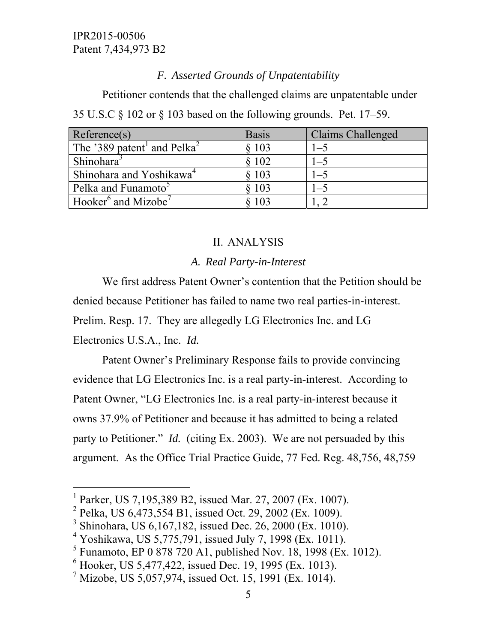# *F. Asserted Grounds of Unpatentability*

Petitioner contends that the challenged claims are unpatentable under 35 U.S.C § 102 or § 103 based on the following grounds. Pet. 17–59.

| Reference(s)                                        | <b>Basis</b> | Claims Challenged |
|-----------------------------------------------------|--------------|-------------------|
| The '389 patent <sup>1</sup> and Pelka <sup>2</sup> | \$103        | $1 - 5$           |
| Shinohara <sup>3</sup>                              | \$102        | $1 - 5$           |
| Shinohara and Yoshikawa <sup>4</sup>                | 8103         | $1 - 5$           |
| Pelka and Funamoto <sup>5</sup>                     | 8 103        | $1 - 5$           |
| Hooker <sup>6</sup> and Mizobe <sup>7</sup>         | 103          |                   |

# II. ANALYSIS

# *A. Real Party-in-Interest*

We first address Patent Owner's contention that the Petition should be denied because Petitioner has failed to name two real parties-in-interest. Prelim. Resp. 17. They are allegedly LG Electronics Inc. and LG

Electronics U.S.A., Inc. *Id.*

 $\overline{a}$ 

Patent Owner's Preliminary Response fails to provide convincing evidence that LG Electronics Inc. is a real party-in-interest. According to Patent Owner, "LG Electronics Inc. is a real party-in-interest because it owns 37.9% of Petitioner and because it has admitted to being a related party to Petitioner." *Id.* (citing Ex. 2003). We are not persuaded by this argument. As the Office Trial Practice Guide, 77 Fed. Reg. 48,756, 48,759

<sup>&</sup>lt;sup>1</sup> Parker, US 7,195,389 B2, issued Mar. 27, 2007 (Ex. 1007).

<sup>&</sup>lt;sup>2</sup> Pelka, US 6,473,554 B1, issued Oct. 29, 2002 (Ex. 1009).

<sup>&</sup>lt;sup>3</sup> Shinohara, US 6,167,182, issued Dec. 26, 2000 (Ex. 1010).

<sup>&</sup>lt;sup>4</sup> Yoshikawa, US 5,775,791, issued July 7, 1998 (Ex. 1011).

<sup>&</sup>lt;sup>5</sup> Funamoto, EP 0 878 720 A1, published Nov. 18, 1998 (Ex. 1012).

<sup>6</sup> Hooker, US 5,477,422, issued Dec. 19, 1995 (Ex. 1013).

<sup>&</sup>lt;sup>7</sup> Mizobe, US 5,057,974, issued Oct. 15, 1991 (Ex. 1014).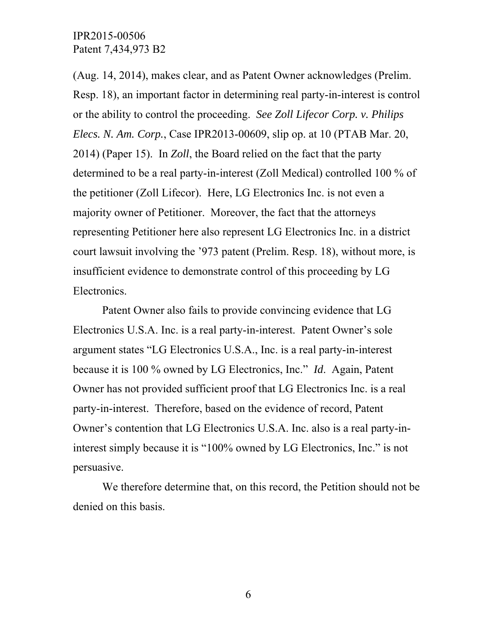(Aug. 14, 2014), makes clear, and as Patent Owner acknowledges (Prelim. Resp. 18), an important factor in determining real party-in-interest is control or the ability to control the proceeding. *See Zoll Lifecor Corp. v. Philips Elecs. N. Am. Corp.*, Case IPR2013-00609, slip op. at 10 (PTAB Mar. 20, 2014) (Paper 15). In *Zoll*, the Board relied on the fact that the party determined to be a real party-in-interest (Zoll Medical) controlled 100 % of the petitioner (Zoll Lifecor). Here, LG Electronics Inc. is not even a majority owner of Petitioner. Moreover, the fact that the attorneys representing Petitioner here also represent LG Electronics Inc. in a district court lawsuit involving the '973 patent (Prelim. Resp. 18), without more, is insufficient evidence to demonstrate control of this proceeding by LG Electronics.

Patent Owner also fails to provide convincing evidence that LG Electronics U.S.A. Inc. is a real party-in-interest. Patent Owner's sole argument states "LG Electronics U.S.A., Inc. is a real party-in-interest because it is 100 % owned by LG Electronics, Inc." *Id*. Again, Patent Owner has not provided sufficient proof that LG Electronics Inc. is a real party-in-interest. Therefore, based on the evidence of record, Patent Owner's contention that LG Electronics U.S.A. Inc. also is a real party-ininterest simply because it is "100% owned by LG Electronics, Inc." is not persuasive.

We therefore determine that, on this record, the Petition should not be denied on this basis.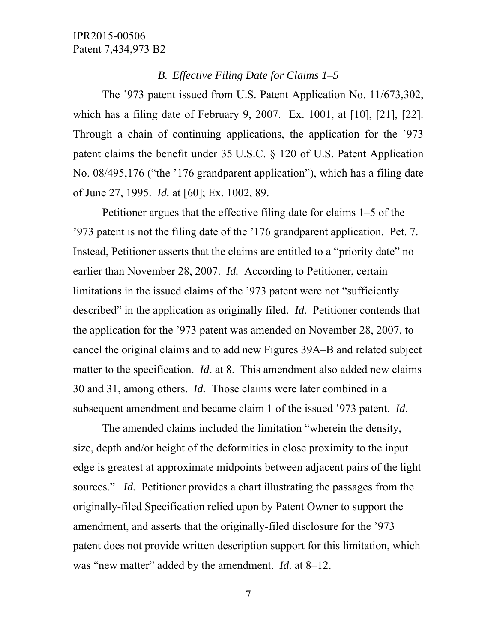## *B. Effective Filing Date for Claims 1–5*

The '973 patent issued from U.S. Patent Application No. 11/673,302, which has a filing date of February 9, 2007. Ex. 1001, at [10], [21], [22]. Through a chain of continuing applications, the application for the '973 patent claims the benefit under 35 U.S.C. § 120 of U.S. Patent Application No. 08/495,176 ("the '176 grandparent application"), which has a filing date of June 27, 1995. *Id.* at [60]; Ex. 1002, 89.

Petitioner argues that the effective filing date for claims 1–5 of the '973 patent is not the filing date of the '176 grandparent application. Pet. 7. Instead, Petitioner asserts that the claims are entitled to a "priority date" no earlier than November 28, 2007. *Id.* According to Petitioner, certain limitations in the issued claims of the '973 patent were not "sufficiently described" in the application as originally filed. *Id.* Petitioner contends that the application for the '973 patent was amended on November 28, 2007, to cancel the original claims and to add new Figures 39A–B and related subject matter to the specification. *Id*. at 8. This amendment also added new claims 30 and 31, among others. *Id.* Those claims were later combined in a subsequent amendment and became claim 1 of the issued '973 patent. *Id*.

The amended claims included the limitation "wherein the density, size, depth and/or height of the deformities in close proximity to the input edge is greatest at approximate midpoints between adjacent pairs of the light sources." *Id.* Petitioner provides a chart illustrating the passages from the originally-filed Specification relied upon by Patent Owner to support the amendment, and asserts that the originally-filed disclosure for the '973 patent does not provide written description support for this limitation, which was "new matter" added by the amendment. *Id.* at 8–12.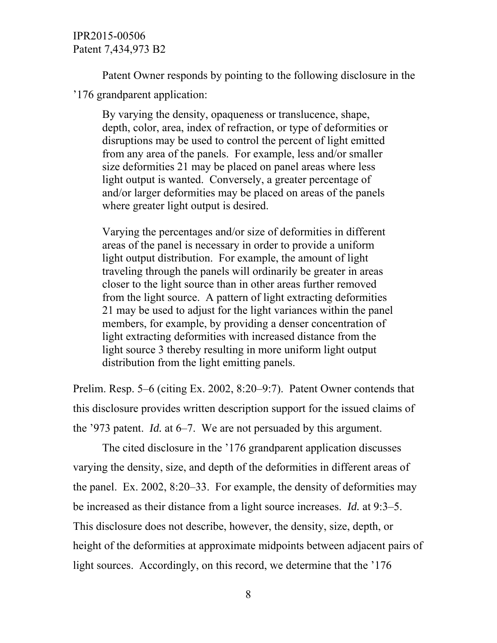Patent Owner responds by pointing to the following disclosure in the '176 grandparent application:

By varying the density, opaqueness or translucence, shape, depth, color, area, index of refraction, or type of deformities or disruptions may be used to control the percent of light emitted from any area of the panels. For example, less and/or smaller size deformities 21 may be placed on panel areas where less light output is wanted. Conversely, a greater percentage of and/or larger deformities may be placed on areas of the panels where greater light output is desired.

Varying the percentages and/or size of deformities in different areas of the panel is necessary in order to provide a uniform light output distribution. For example, the amount of light traveling through the panels will ordinarily be greater in areas closer to the light source than in other areas further removed from the light source. A pattern of light extracting deformities 21 may be used to adjust for the light variances within the panel members, for example, by providing a denser concentration of light extracting deformities with increased distance from the light source 3 thereby resulting in more uniform light output distribution from the light emitting panels.

Prelim. Resp. 5–6 (citing Ex. 2002, 8:20–9:7). Patent Owner contends that this disclosure provides written description support for the issued claims of the '973 patent. *Id.* at 6–7. We are not persuaded by this argument.

The cited disclosure in the '176 grandparent application discusses varying the density, size, and depth of the deformities in different areas of the panel. Ex. 2002, 8:20–33. For example, the density of deformities may be increased as their distance from a light source increases. *Id.* at 9:3–5. This disclosure does not describe, however, the density, size, depth, or height of the deformities at approximate midpoints between adjacent pairs of light sources. Accordingly, on this record, we determine that the '176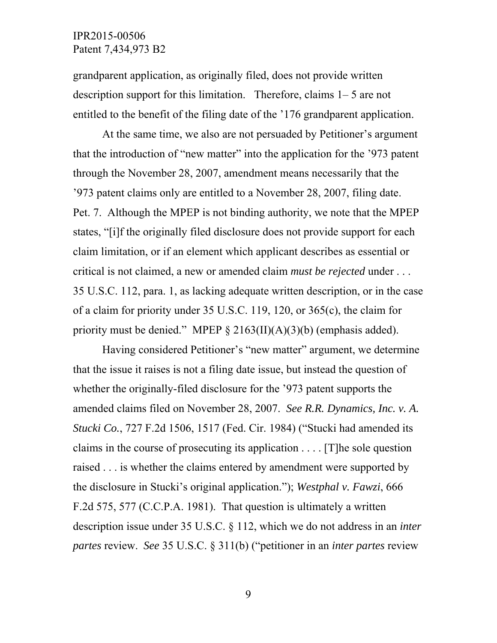grandparent application, as originally filed, does not provide written description support for this limitation. Therefore, claims 1– 5 are not entitled to the benefit of the filing date of the '176 grandparent application.

At the same time, we also are not persuaded by Petitioner's argument that the introduction of "new matter" into the application for the '973 patent through the November 28, 2007, amendment means necessarily that the '973 patent claims only are entitled to a November 28, 2007, filing date. Pet. 7. Although the MPEP is not binding authority, we note that the MPEP states, "[i]f the originally filed disclosure does not provide support for each claim limitation, or if an element which applicant describes as essential or critical is not claimed, a new or amended claim *must be rejected* under . . . 35 U.S.C. 112, para. 1, as lacking adequate written description, or in the case of a claim for priority under 35 U.S.C. 119, 120, or 365(c), the claim for priority must be denied." MPEP  $\S 2163(II)(A)(3)(b)$  (emphasis added).

Having considered Petitioner's "new matter" argument, we determine that the issue it raises is not a filing date issue, but instead the question of whether the originally-filed disclosure for the '973 patent supports the amended claims filed on November 28, 2007. *See R.R. Dynamics, Inc. v. A. Stucki Co.*, 727 F.2d 1506, 1517 (Fed. Cir. 1984) ("Stucki had amended its claims in the course of prosecuting its application . . . . [T]he sole question raised . . . is whether the claims entered by amendment were supported by the disclosure in Stucki's original application."); *Westphal v. Fawzi*, 666 F.2d 575, 577 (C.C.P.A. 1981). That question is ultimately a written description issue under 35 U.S.C. § 112, which we do not address in an *inter partes* review. *See* 35 U.S.C. § 311(b) ("petitioner in an *inter partes* review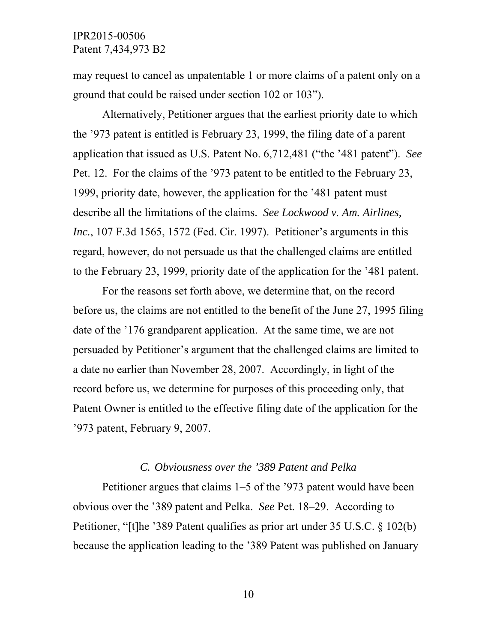may request to cancel as unpatentable 1 or more claims of a patent only on a ground that could be raised under section 102 or 103").

Alternatively, Petitioner argues that the earliest priority date to which the '973 patent is entitled is February 23, 1999, the filing date of a parent application that issued as U.S. Patent No. 6,712,481 ("the '481 patent"). *See*  Pet. 12. For the claims of the '973 patent to be entitled to the February 23, 1999, priority date, however, the application for the '481 patent must describe all the limitations of the claims. *See Lockwood v. Am. Airlines, Inc.*, 107 F.3d 1565, 1572 (Fed. Cir. 1997). Petitioner's arguments in this regard, however, do not persuade us that the challenged claims are entitled to the February 23, 1999, priority date of the application for the '481 patent.

For the reasons set forth above, we determine that, on the record before us, the claims are not entitled to the benefit of the June 27, 1995 filing date of the '176 grandparent application. At the same time, we are not persuaded by Petitioner's argument that the challenged claims are limited to a date no earlier than November 28, 2007. Accordingly, in light of the record before us, we determine for purposes of this proceeding only, that Patent Owner is entitled to the effective filing date of the application for the '973 patent, February 9, 2007.

#### *C. Obviousness over the '389 Patent and Pelka*

Petitioner argues that claims 1–5 of the '973 patent would have been obvious over the '389 patent and Pelka. *See* Pet. 18–29. According to Petitioner, "[t]he '389 Patent qualifies as prior art under 35 U.S.C. § 102(b) because the application leading to the '389 Patent was published on January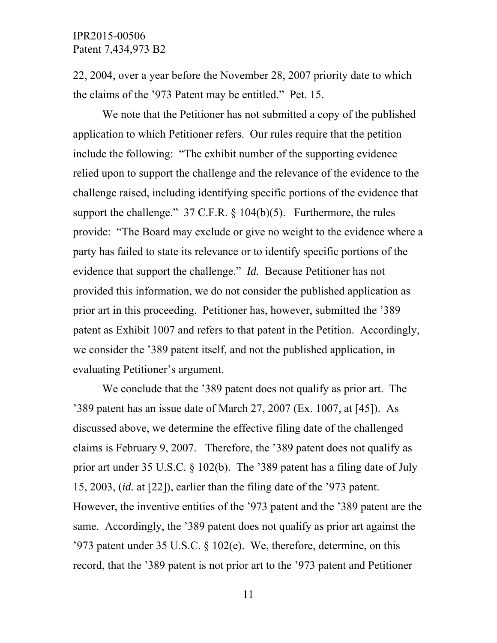22, 2004, over a year before the November 28, 2007 priority date to which the claims of the '973 Patent may be entitled." Pet. 15.

We note that the Petitioner has not submitted a copy of the published application to which Petitioner refers. Our rules require that the petition include the following: "The exhibit number of the supporting evidence relied upon to support the challenge and the relevance of the evidence to the challenge raised, including identifying specific portions of the evidence that support the challenge."  $37 \text{ C.F.R.}$  §  $104(b)(5)$ . Furthermore, the rules provide: "The Board may exclude or give no weight to the evidence where a party has failed to state its relevance or to identify specific portions of the evidence that support the challenge." *Id.* Because Petitioner has not provided this information, we do not consider the published application as prior art in this proceeding. Petitioner has, however, submitted the '389 patent as Exhibit 1007 and refers to that patent in the Petition. Accordingly, we consider the '389 patent itself, and not the published application, in evaluating Petitioner's argument.

We conclude that the '389 patent does not qualify as prior art. The '389 patent has an issue date of March 27, 2007 (Ex. 1007, at [45]). As discussed above, we determine the effective filing date of the challenged claims is February 9, 2007. Therefore, the '389 patent does not qualify as prior art under 35 U.S.C. § 102(b). The '389 patent has a filing date of July 15, 2003, (*id.* at [22]), earlier than the filing date of the '973 patent. However, the inventive entities of the '973 patent and the '389 patent are the same. Accordingly, the '389 patent does not qualify as prior art against the '973 patent under 35 U.S.C. § 102(e). We, therefore, determine, on this record, that the '389 patent is not prior art to the '973 patent and Petitioner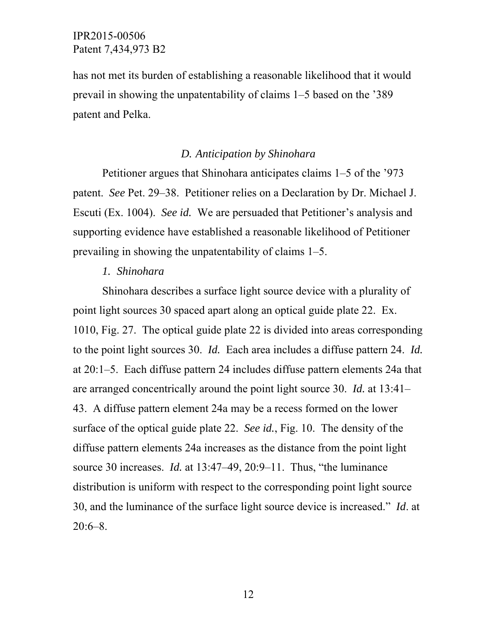has not met its burden of establishing a reasonable likelihood that it would prevail in showing the unpatentability of claims 1–5 based on the '389 patent and Pelka.

### *D. Anticipation by Shinohara*

Petitioner argues that Shinohara anticipates claims 1–5 of the '973 patent. *See* Pet. 29–38. Petitioner relies on a Declaration by Dr. Michael J. Escuti (Ex. 1004). *See id.* We are persuaded that Petitioner's analysis and supporting evidence have established a reasonable likelihood of Petitioner prevailing in showing the unpatentability of claims 1–5.

#### *1. Shinohara*

Shinohara describes a surface light source device with a plurality of point light sources 30 spaced apart along an optical guide plate 22. Ex. 1010, Fig. 27. The optical guide plate 22 is divided into areas corresponding to the point light sources 30. *Id.* Each area includes a diffuse pattern 24. *Id.* at 20:1–5. Each diffuse pattern 24 includes diffuse pattern elements 24a that are arranged concentrically around the point light source 30. *Id.* at 13:41– 43. A diffuse pattern element 24a may be a recess formed on the lower surface of the optical guide plate 22. *See id.*, Fig. 10. The density of the diffuse pattern elements 24a increases as the distance from the point light source 30 increases. *Id.* at 13:47–49, 20:9–11. Thus, "the luminance" distribution is uniform with respect to the corresponding point light source 30, and the luminance of the surface light source device is increased." *Id*. at  $20:6-8$ .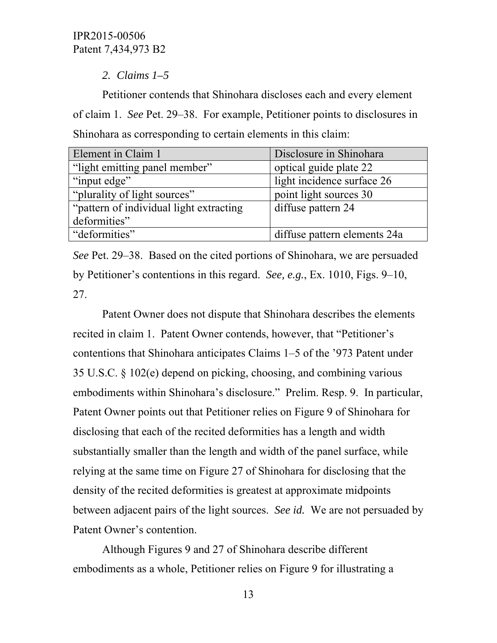*2. Claims 1–5*

Petitioner contends that Shinohara discloses each and every element of claim 1. *See* Pet. 29–38. For example, Petitioner points to disclosures in Shinohara as corresponding to certain elements in this claim:

| Element in Claim 1                       | Disclosure in Shinohara      |
|------------------------------------------|------------------------------|
| "light emitting panel member"            | optical guide plate 22       |
| "input edge"                             | light incidence surface 26   |
| "plurality of light sources"             | point light sources 30       |
| "pattern of individual light extracting" | diffuse pattern 24           |
| deformities"                             |                              |
| "deformities"                            | diffuse pattern elements 24a |

*See* Pet. 29–38. Based on the cited portions of Shinohara, we are persuaded by Petitioner's contentions in this regard. *See, e.g.*, Ex. 1010, Figs. 9–10, 27.

Patent Owner does not dispute that Shinohara describes the elements recited in claim 1. Patent Owner contends, however, that "Petitioner's contentions that Shinohara anticipates Claims 1–5 of the '973 Patent under 35 U.S.C. § 102(e) depend on picking, choosing, and combining various embodiments within Shinohara's disclosure." Prelim. Resp. 9. In particular, Patent Owner points out that Petitioner relies on Figure 9 of Shinohara for disclosing that each of the recited deformities has a length and width substantially smaller than the length and width of the panel surface, while relying at the same time on Figure 27 of Shinohara for disclosing that the density of the recited deformities is greatest at approximate midpoints between adjacent pairs of the light sources. *See id.* We are not persuaded by Patent Owner's contention.

Although Figures 9 and 27 of Shinohara describe different embodiments as a whole, Petitioner relies on Figure 9 for illustrating a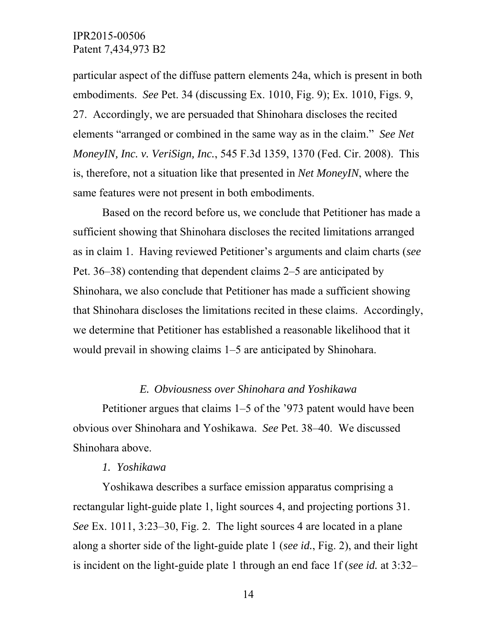particular aspect of the diffuse pattern elements 24a, which is present in both embodiments. *See* Pet. 34 (discussing Ex. 1010, Fig. 9); Ex. 1010, Figs. 9, 27. Accordingly, we are persuaded that Shinohara discloses the recited elements "arranged or combined in the same way as in the claim." *See Net MoneyIN, Inc. v. VeriSign, Inc.*, 545 F.3d 1359, 1370 (Fed. Cir. 2008). This is, therefore, not a situation like that presented in *Net MoneyIN*, where the same features were not present in both embodiments.

Based on the record before us, we conclude that Petitioner has made a sufficient showing that Shinohara discloses the recited limitations arranged as in claim 1. Having reviewed Petitioner's arguments and claim charts (*see*  Pet. 36–38) contending that dependent claims 2–5 are anticipated by Shinohara, we also conclude that Petitioner has made a sufficient showing that Shinohara discloses the limitations recited in these claims. Accordingly, we determine that Petitioner has established a reasonable likelihood that it would prevail in showing claims 1–5 are anticipated by Shinohara.

### *E. Obviousness over Shinohara and Yoshikawa*

Petitioner argues that claims 1–5 of the '973 patent would have been obvious over Shinohara and Yoshikawa. *See* Pet. 38–40. We discussed Shinohara above.

#### *1. Yoshikawa*

Yoshikawa describes a surface emission apparatus comprising a rectangular light-guide plate 1, light sources 4, and projecting portions 31. *See* Ex. 1011, 3:23–30, Fig. 2. The light sources 4 are located in a plane along a shorter side of the light-guide plate 1 (*see id.*, Fig. 2), and their light is incident on the light-guide plate 1 through an end face 1f (*see id.* at 3:32–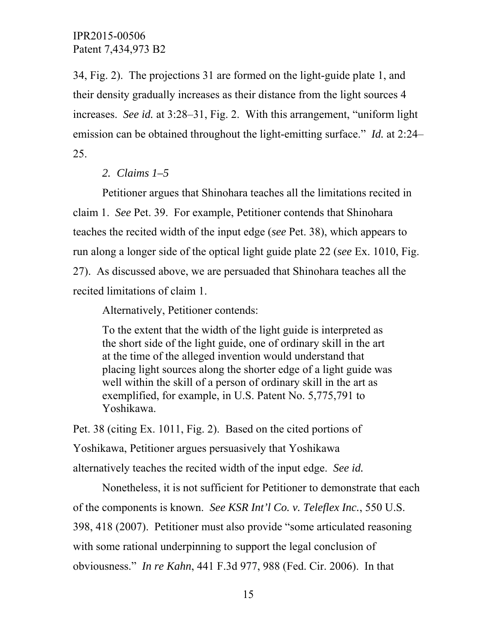34, Fig. 2). The projections 31 are formed on the light-guide plate 1, and their density gradually increases as their distance from the light sources 4 increases. *See id.* at 3:28–31, Fig. 2. With this arrangement, "uniform light emission can be obtained throughout the light-emitting surface." *Id.* at 2:24– 25.

# *2. Claims 1–5*

Petitioner argues that Shinohara teaches all the limitations recited in claim 1. *See* Pet. 39. For example, Petitioner contends that Shinohara teaches the recited width of the input edge (*see* Pet. 38), which appears to run along a longer side of the optical light guide plate 22 (*see* Ex. 1010, Fig. 27). As discussed above, we are persuaded that Shinohara teaches all the recited limitations of claim 1.

Alternatively, Petitioner contends:

To the extent that the width of the light guide is interpreted as the short side of the light guide, one of ordinary skill in the art at the time of the alleged invention would understand that placing light sources along the shorter edge of a light guide was well within the skill of a person of ordinary skill in the art as exemplified, for example, in U.S. Patent No. 5,775,791 to Yoshikawa.

Pet. 38 (citing Ex. 1011, Fig. 2). Based on the cited portions of Yoshikawa, Petitioner argues persuasively that Yoshikawa alternatively teaches the recited width of the input edge. *See id.* 

Nonetheless, it is not sufficient for Petitioner to demonstrate that each of the components is known. *See KSR Int'l Co. v. Teleflex Inc.*, 550 U.S. 398, 418 (2007). Petitioner must also provide "some articulated reasoning with some rational underpinning to support the legal conclusion of obviousness." *In re Kahn*, 441 F.3d 977, 988 (Fed. Cir. 2006). In that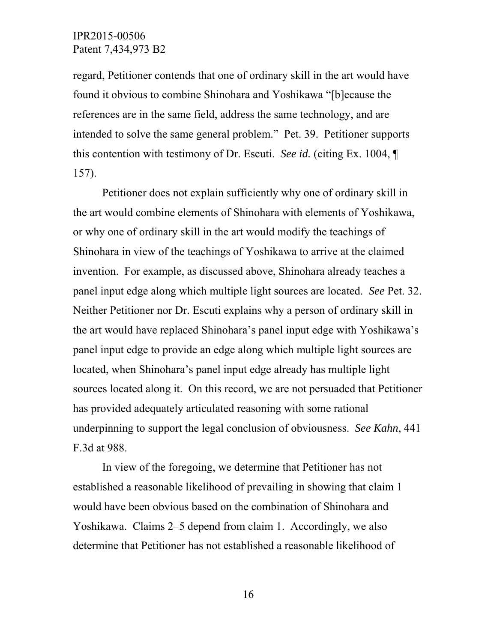regard, Petitioner contends that one of ordinary skill in the art would have found it obvious to combine Shinohara and Yoshikawa "[b]ecause the references are in the same field, address the same technology, and are intended to solve the same general problem." Pet. 39. Petitioner supports this contention with testimony of Dr. Escuti. *See id.* (citing Ex. 1004, ¶ 157).

Petitioner does not explain sufficiently why one of ordinary skill in the art would combine elements of Shinohara with elements of Yoshikawa, or why one of ordinary skill in the art would modify the teachings of Shinohara in view of the teachings of Yoshikawa to arrive at the claimed invention. For example, as discussed above, Shinohara already teaches a panel input edge along which multiple light sources are located. *See* Pet. 32. Neither Petitioner nor Dr. Escuti explains why a person of ordinary skill in the art would have replaced Shinohara's panel input edge with Yoshikawa's panel input edge to provide an edge along which multiple light sources are located, when Shinohara's panel input edge already has multiple light sources located along it. On this record, we are not persuaded that Petitioner has provided adequately articulated reasoning with some rational underpinning to support the legal conclusion of obviousness. *See Kahn*, 441 F.3d at 988.

In view of the foregoing, we determine that Petitioner has not established a reasonable likelihood of prevailing in showing that claim 1 would have been obvious based on the combination of Shinohara and Yoshikawa. Claims 2–5 depend from claim 1. Accordingly, we also determine that Petitioner has not established a reasonable likelihood of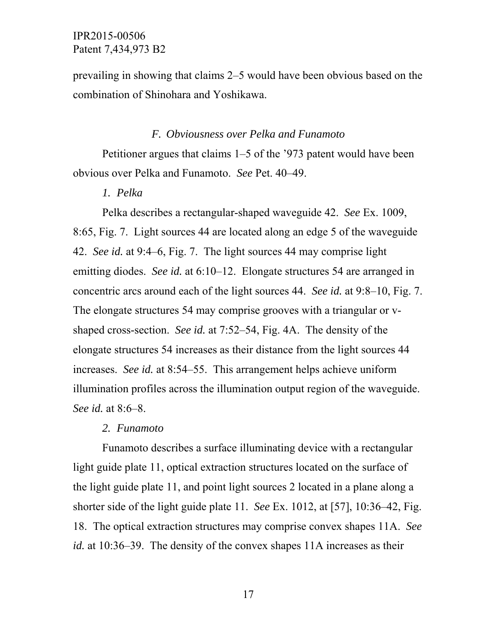prevailing in showing that claims 2–5 would have been obvious based on the combination of Shinohara and Yoshikawa.

#### *F. Obviousness over Pelka and Funamoto*

Petitioner argues that claims 1–5 of the '973 patent would have been obvious over Pelka and Funamoto. *See* Pet. 40–49.

## *1. Pelka*

Pelka describes a rectangular-shaped waveguide 42. *See* Ex. 1009, 8:65, Fig. 7. Light sources 44 are located along an edge 5 of the waveguide 42. *See id.* at 9:4–6, Fig. 7. The light sources 44 may comprise light emitting diodes. *See id.* at 6:10–12. Elongate structures 54 are arranged in concentric arcs around each of the light sources 44. *See id.* at 9:8–10, Fig. 7. The elongate structures 54 may comprise grooves with a triangular or vshaped cross-section. *See id.* at 7:52–54, Fig. 4A. The density of the elongate structures 54 increases as their distance from the light sources 44 increases. *See id.* at 8:54–55. This arrangement helps achieve uniform illumination profiles across the illumination output region of the waveguide. *See id.* at 8:6–8.

#### *2. Funamoto*

Funamoto describes a surface illuminating device with a rectangular light guide plate 11, optical extraction structures located on the surface of the light guide plate 11, and point light sources 2 located in a plane along a shorter side of the light guide plate 11. *See* Ex. 1012, at [57], 10:36–42, Fig. 18. The optical extraction structures may comprise convex shapes 11A. *See id.* at 10:36–39. The density of the convex shapes 11A increases as their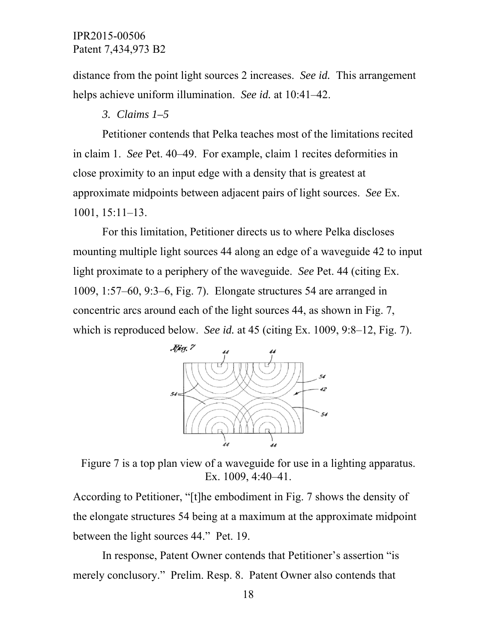distance from the point light sources 2 increases. *See id.* This arrangement helps achieve uniform illumination. *See id.* at 10:41–42.

### *3. Claims 1–5*

Petitioner contends that Pelka teaches most of the limitations recited in claim 1. *See* Pet. 40–49. For example, claim 1 recites deformities in close proximity to an input edge with a density that is greatest at approximate midpoints between adjacent pairs of light sources. *See* Ex. 1001, 15:11–13.

For this limitation, Petitioner directs us to where Pelka discloses mounting multiple light sources 44 along an edge of a waveguide 42 to input light proximate to a periphery of the waveguide. *See* Pet. 44 (citing Ex. 1009, 1:57–60, 9:3–6, Fig. 7). Elongate structures 54 are arranged in concentric arcs around each of the light sources 44, as shown in Fig. 7, which is reproduced below. *See id.* at 45 (citing Ex. 1009, 9:8–12, Fig. 7).



Figure 7 is a top plan view of a waveguide for use in a lighting apparatus. Ex. 1009, 4:40–41.

According to Petitioner, "[t]he embodiment in Fig. 7 shows the density of the elongate structures 54 being at a maximum at the approximate midpoint between the light sources 44." Pet. 19.

In response, Patent Owner contends that Petitioner's assertion "is merely conclusory." Prelim. Resp. 8. Patent Owner also contends that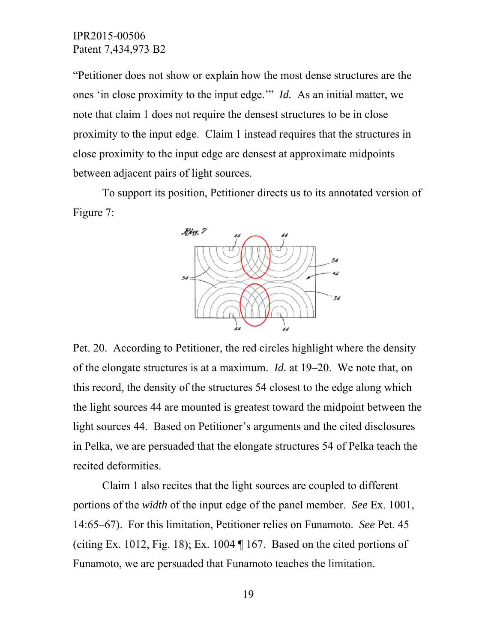"Petitioner does not show or explain how the most dense structures are the ones 'in close proximity to the input edge.'" *Id.* As an initial matter, we note that claim 1 does not require the densest structures to be in close proximity to the input edge. Claim 1 instead requires that the structures in close proximity to the input edge are densest at approximate midpoints between adjacent pairs of light sources.

To support its position, Petitioner directs us to its annotated version of Figure 7:



Pet. 20. According to Petitioner, the red circles highlight where the density of the elongate structures is at a maximum. *Id.* at 19–20. We note that, on this record, the density of the structures 54 closest to the edge along which the light sources 44 are mounted is greatest toward the midpoint between the light sources 44. Based on Petitioner's arguments and the cited disclosures in Pelka, we are persuaded that the elongate structures 54 of Pelka teach the recited deformities.

Claim 1 also recites that the light sources are coupled to different portions of the *width* of the input edge of the panel member. *See* Ex. 1001, 14:65–67). For this limitation, Petitioner relies on Funamoto. *See* Pet. 45 (citing Ex. 1012, Fig. 18); Ex. 1004 ¶ 167. Based on the cited portions of Funamoto, we are persuaded that Funamoto teaches the limitation.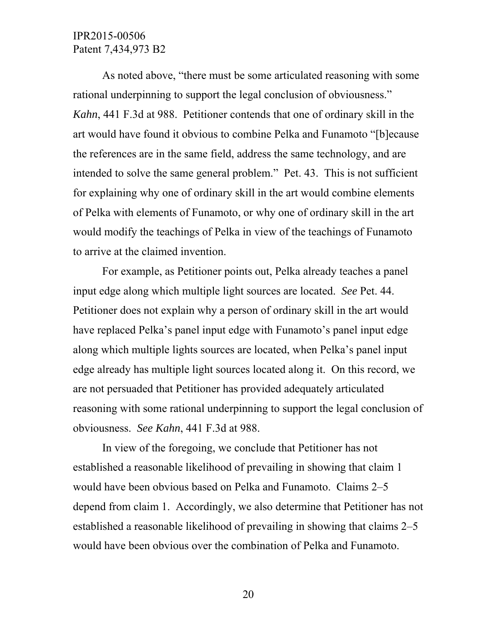As noted above, "there must be some articulated reasoning with some rational underpinning to support the legal conclusion of obviousness." *Kahn*, 441 F.3d at 988. Petitioner contends that one of ordinary skill in the art would have found it obvious to combine Pelka and Funamoto "[b]ecause the references are in the same field, address the same technology, and are intended to solve the same general problem." Pet. 43. This is not sufficient for explaining why one of ordinary skill in the art would combine elements of Pelka with elements of Funamoto, or why one of ordinary skill in the art would modify the teachings of Pelka in view of the teachings of Funamoto to arrive at the claimed invention.

For example, as Petitioner points out, Pelka already teaches a panel input edge along which multiple light sources are located. *See* Pet. 44. Petitioner does not explain why a person of ordinary skill in the art would have replaced Pelka's panel input edge with Funamoto's panel input edge along which multiple lights sources are located, when Pelka's panel input edge already has multiple light sources located along it. On this record, we are not persuaded that Petitioner has provided adequately articulated reasoning with some rational underpinning to support the legal conclusion of obviousness. *See Kahn*, 441 F.3d at 988.

In view of the foregoing, we conclude that Petitioner has not established a reasonable likelihood of prevailing in showing that claim 1 would have been obvious based on Pelka and Funamoto. Claims 2–5 depend from claim 1. Accordingly, we also determine that Petitioner has not established a reasonable likelihood of prevailing in showing that claims 2–5 would have been obvious over the combination of Pelka and Funamoto.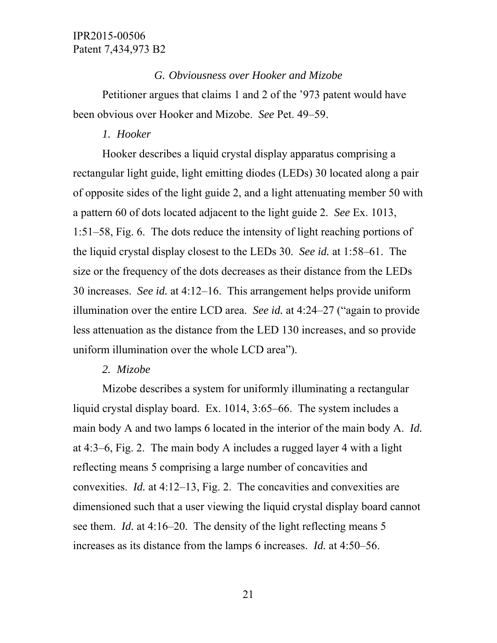## *G. Obviousness over Hooker and Mizobe*

Petitioner argues that claims 1 and 2 of the '973 patent would have been obvious over Hooker and Mizobe. *See* Pet. 49–59.

# *1. Hooker*

Hooker describes a liquid crystal display apparatus comprising a rectangular light guide, light emitting diodes (LEDs) 30 located along a pair of opposite sides of the light guide 2, and a light attenuating member 50 with a pattern 60 of dots located adjacent to the light guide 2. *See* Ex. 1013, 1:51–58, Fig. 6. The dots reduce the intensity of light reaching portions of the liquid crystal display closest to the LEDs 30. *See id.* at 1:58–61. The size or the frequency of the dots decreases as their distance from the LEDs 30 increases. *See id.* at 4:12–16. This arrangement helps provide uniform illumination over the entire LCD area. *See id.* at 4:24–27 ("again to provide less attenuation as the distance from the LED 130 increases, and so provide uniform illumination over the whole LCD area").

## *2. Mizobe*

Mizobe describes a system for uniformly illuminating a rectangular liquid crystal display board. Ex. 1014, 3:65–66. The system includes a main body A and two lamps 6 located in the interior of the main body A. *Id.* at 4:3–6, Fig. 2. The main body A includes a rugged layer 4 with a light reflecting means 5 comprising a large number of concavities and convexities. *Id.* at 4:12–13, Fig. 2.The concavities and convexities are dimensioned such that a user viewing the liquid crystal display board cannot see them. *Id.* at 4:16–20. The density of the light reflecting means 5 increases as its distance from the lamps 6 increases. *Id.* at 4:50–56.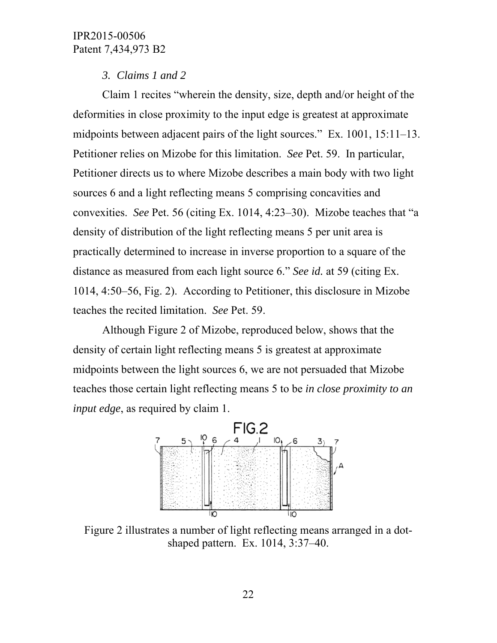# *3. Claims 1 and 2*

Claim 1 recites "wherein the density, size, depth and/or height of the deformities in close proximity to the input edge is greatest at approximate midpoints between adjacent pairs of the light sources." Ex. 1001, 15:11–13. Petitioner relies on Mizobe for this limitation. *See* Pet. 59. In particular, Petitioner directs us to where Mizobe describes a main body with two light sources 6 and a light reflecting means 5 comprising concavities and convexities. *See* Pet. 56 (citing Ex. 1014, 4:23–30). Mizobe teaches that "a density of distribution of the light reflecting means 5 per unit area is practically determined to increase in inverse proportion to a square of the distance as measured from each light source 6." *See id.* at 59 (citing Ex. 1014, 4:50–56, Fig. 2). According to Petitioner, this disclosure in Mizobe teaches the recited limitation. *See* Pet. 59.

Although Figure 2 of Mizobe, reproduced below, shows that the density of certain light reflecting means 5 is greatest at approximate midpoints between the light sources 6, we are not persuaded that Mizobe teaches those certain light reflecting means 5 to be *in close proximity to an input edge*, as required by claim 1.



Figure 2 illustrates a number of light reflecting means arranged in a dotshaped pattern. Ex. 1014, 3:37–40.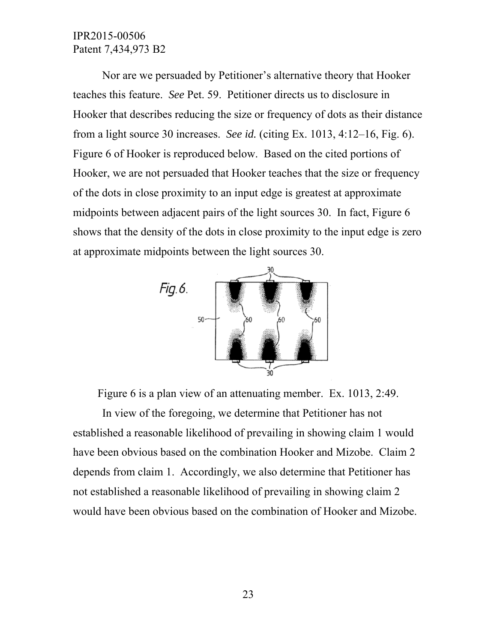Nor are we persuaded by Petitioner's alternative theory that Hooker teaches this feature. *See* Pet. 59. Petitioner directs us to disclosure in Hooker that describes reducing the size or frequency of dots as their distance from a light source 30 increases. *See id.* (citing Ex. 1013, 4:12–16, Fig. 6). Figure 6 of Hooker is reproduced below. Based on the cited portions of Hooker, we are not persuaded that Hooker teaches that the size or frequency of the dots in close proximity to an input edge is greatest at approximate midpoints between adjacent pairs of the light sources 30. In fact, Figure 6 shows that the density of the dots in close proximity to the input edge is zero at approximate midpoints between the light sources 30.



Figure 6 is a plan view of an attenuating member. Ex. 1013, 2:49.

In view of the foregoing, we determine that Petitioner has not established a reasonable likelihood of prevailing in showing claim 1 would have been obvious based on the combination Hooker and Mizobe. Claim 2 depends from claim 1. Accordingly, we also determine that Petitioner has not established a reasonable likelihood of prevailing in showing claim 2 would have been obvious based on the combination of Hooker and Mizobe.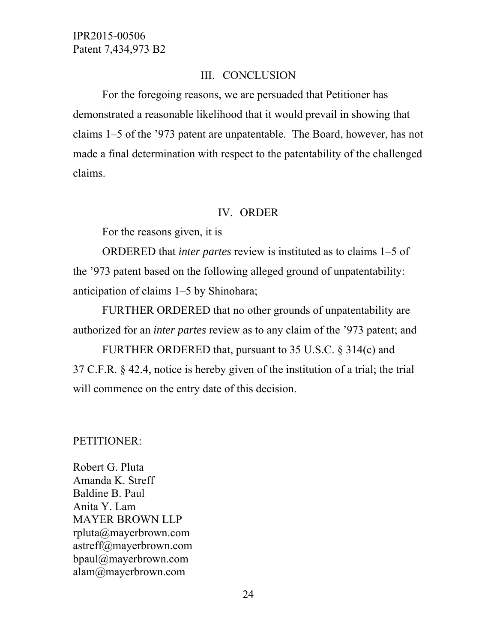### III. CONCLUSION

For the foregoing reasons, we are persuaded that Petitioner has demonstrated a reasonable likelihood that it would prevail in showing that claims 1–5 of the '973 patent are unpatentable. The Board, however, has not made a final determination with respect to the patentability of the challenged claims.

#### IV. ORDER

For the reasons given, it is

ORDERED that *inter partes* review is instituted as to claims 1–5 of the '973 patent based on the following alleged ground of unpatentability: anticipation of claims 1–5 by Shinohara;

FURTHER ORDERED that no other grounds of unpatentability are authorized for an *inter partes* review as to any claim of the '973 patent; and

FURTHER ORDERED that, pursuant to 35 U.S.C. § 314(c) and 37 C.F.R. § 42.4, notice is hereby given of the institution of a trial; the trial will commence on the entry date of this decision.

#### PETITIONER:

Robert G. Pluta Amanda K. Streff Baldine B. Paul Anita Y. Lam MAYER BROWN LLP rpluta@mayerbrown.com astreff@mayerbrown.com bpaul@mayerbrown.com alam@mayerbrown.com